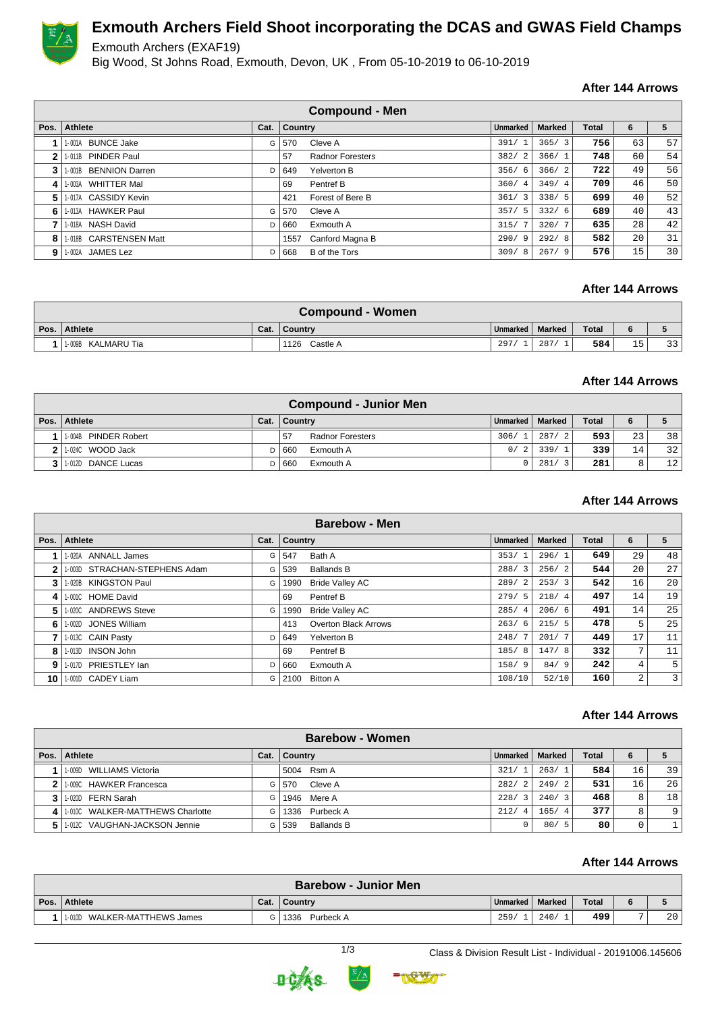

# **Exmouth Archers Field Shoot incorporating the DCAS and GWAS Field Champs**

Exmouth Archers (EXAF19)

Big Wood, St Johns Road, Exmouth, Devon, UK , From 05-10-2019 to 06-10-2019

## **After 144 Arrows**

|              | <b>Compound - Men</b>  |      |                |                         |                        |               |              |    |    |  |  |  |
|--------------|------------------------|------|----------------|-------------------------|------------------------|---------------|--------------|----|----|--|--|--|
| Pos.         | Athlete                | Cat. | <b>Country</b> |                         | <b>Unmarked</b>        | <b>Marked</b> | <b>Total</b> | 6  | 5  |  |  |  |
|              | 1-001A BUNCE Jake      | G    | 570            | Cleve A                 | 391/                   | 365/3         | 756          | 63 | 57 |  |  |  |
| $\mathbf{2}$ | 1-011B PINDER Paul     |      | 57             | <b>Radnor Foresters</b> | 382/2                  | 366/1         | 748          | 60 | 54 |  |  |  |
| 3            | 1-001B BENNION Darren  | D    | 649            | Yelverton B             | 356/6                  | 366/2         | 722          | 49 | 56 |  |  |  |
| 4            | 1-003A WHITTER Mal     |      | 69             | Pentref B               | 360/<br>$\overline{4}$ | 349/4         | 709          | 46 | 50 |  |  |  |
| 5.           | 1-017A CASSIDY Kevin   |      | 421            | Forest of Bere B        | 361/3                  | 338/5         | 699          | 40 | 52 |  |  |  |
| 6.           | 1-013A HAWKER Paul     | G    | 570            | Cleve A                 | 357/5                  | 332/6         | 689          | 40 | 43 |  |  |  |
|              | 1-018A NASH David      | D    | 660            | Exmouth A               | 315/                   | 320/7         | 635          | 28 | 42 |  |  |  |
| 8            | 1-018B CARSTENSEN Matt |      | 1557           | Canford Magna B         | 290/9                  | 292/8         | 582          | 20 | 31 |  |  |  |
| 9            | 1-002A JAMES Lez       | D    | 668            | B of the Tors           | 309/8                  | 267/9         | 576          | 15 | 30 |  |  |  |

#### **After 144 Arrows**

| <b>Compound - Women</b> |      |                  |                   |      |              |    |    |  |  |
|-------------------------|------|------------------|-------------------|------|--------------|----|----|--|--|
| Pos. Athlete            | Cat. | <b>Country</b>   | Unmarked   Marked |      | <b>Total</b> |    |    |  |  |
| 1-009B KALMARU Tia      |      | 1126<br>Castle A | 297               | 287/ | 584          | 15 | 33 |  |  |

#### **After 144 Arrows**

| <b>Compound - Junior Men</b>   |      |           |                         |                   |               |              |    |                 |  |  |  |
|--------------------------------|------|-----------|-------------------------|-------------------|---------------|--------------|----|-----------------|--|--|--|
| Pos.   Athlete                 | Cat. | ∣ Country |                         | Unmarked   Marked |               | <b>Total</b> | 6  |                 |  |  |  |
| <b>PINDER Robert</b><br>1-004B |      | 57        | <b>Radnor Foresters</b> |                   | 306/1   287/2 | 593          | 23 | 38 <sup>1</sup> |  |  |  |
| 1-024C WOOD Jack               |      | 660       | Exmouth A               | 0/2               | 339/          | 339          | 14 | 32              |  |  |  |
| 1-012D DANCE Lucas             |      | 660       | Exmouth A               |                   | 281/<br>્ર    | 281          | 8  | 12              |  |  |  |

#### **After 144 Arrows**

| <b>Barebow - Men</b> |                               |      |         |                        |                        |               |       |                |    |  |  |
|----------------------|-------------------------------|------|---------|------------------------|------------------------|---------------|-------|----------------|----|--|--|
| Pos.                 | Athlete                       | Cat. | Country |                        | <b>Unmarked</b>        | <b>Marked</b> | Total | 6              | 5  |  |  |
|                      | 1-020A ANNALL James           | G    | 547     | Bath A                 | 353/                   | 296/1         | 649   | 29             | 48 |  |  |
| $\mathbf{2}$         | 1-003D STRACHAN-STEPHENS Adam | G    | 539     | <b>Ballands B</b>      | 288/<br>-3             | 256/2         | 544   | 20             | 27 |  |  |
| 3                    | 1-020B KINGSTON Paul          | G    | 1990    | <b>Bride Valley AC</b> | 289/2                  | 253/3         | 542   | 16             | 20 |  |  |
| 4                    | 1-001C HOME David             |      | 69      | Pentref B              | 279/5                  | 218/4         | 497   | 14             | 19 |  |  |
| 5.                   | 1-020C ANDREWS Steve          | G    | 1990    | <b>Bride Valley AC</b> | 285/<br>$\overline{4}$ | 206/6         | 491   | 14             | 25 |  |  |
| 6.                   | 1-002D JONES William          |      | 413     | Overton Black Arrows   | 263/<br>-6             | 215/5         | 478   | 5              | 25 |  |  |
|                      | 1-013C CAIN Pasty             | D    | 649     | Yelverton B            | 248/                   | 201/7         | 449   | 17             | 11 |  |  |
| 8                    | 1-013D INSON John             |      | 69      | Pentref B              | 185/<br>-8             | 147/8         | 332   | 7              | 11 |  |  |
| 9                    | 1-017D PRIESTLEY lan          | D    | 660     | Exmouth A              | 158/9                  | 84/9          | 242   | $\overline{4}$ | 5  |  |  |
| 10 I                 | 1.001D CADEY Liam             | G    | 2100    | <b>Bitton A</b>        | 108/10                 | 52/10         | 160   | 2              | 3  |  |  |

#### **After 144 Arrows**

|      | <b>Barebow - Women</b>           |      |                   |          |        |              |    |    |  |  |  |
|------|----------------------------------|------|-------------------|----------|--------|--------------|----|----|--|--|--|
| Pos. | Athlete                          | Cat. | Country           | Unmarked | Marked | <b>Total</b> |    |    |  |  |  |
|      | 1-009D WILLIAMS Victoria         |      | 5004 Rsm A        | 321/1    | 263/1  | 584          | 16 | 39 |  |  |  |
| 2    | 1.009C HAWKER Francesca          | G    | Cleve A<br>570    | 282/2    | 249/2  | 531          | 16 | 26 |  |  |  |
|      | 3 1.020D FERN Sarah              | G    | 1946 Mere A       | 228/3    | 240/3  | 468          | 8  | 18 |  |  |  |
| 4    | 1.010C WALKER-MATTHEWS Charlotte | G    | 1336 Purbeck A    | 212/4    | 165/4  | 377          | 8  | 9  |  |  |  |
|      | 1-012C VAUGHAN-JACKSON Jennie    | G    | Ballands B<br>539 |          | 80/5   | 80           | 0  |    |  |  |  |

### **After 144 Arrows**

| <b>Barebow - Junior Men</b>  |      |                   |          |        |       |  |                 |  |  |  |
|------------------------------|------|-------------------|----------|--------|-------|--|-----------------|--|--|--|
| Pos. Athlete                 | Cat. | <b>Country</b>    | Unmarked | Marked | Total |  |                 |  |  |  |
| 1.010D WALKER-MATTHEWS James |      | 1336<br>Purbeck A | 259/     | 240    | 499   |  | 20 <sup>1</sup> |  |  |  |



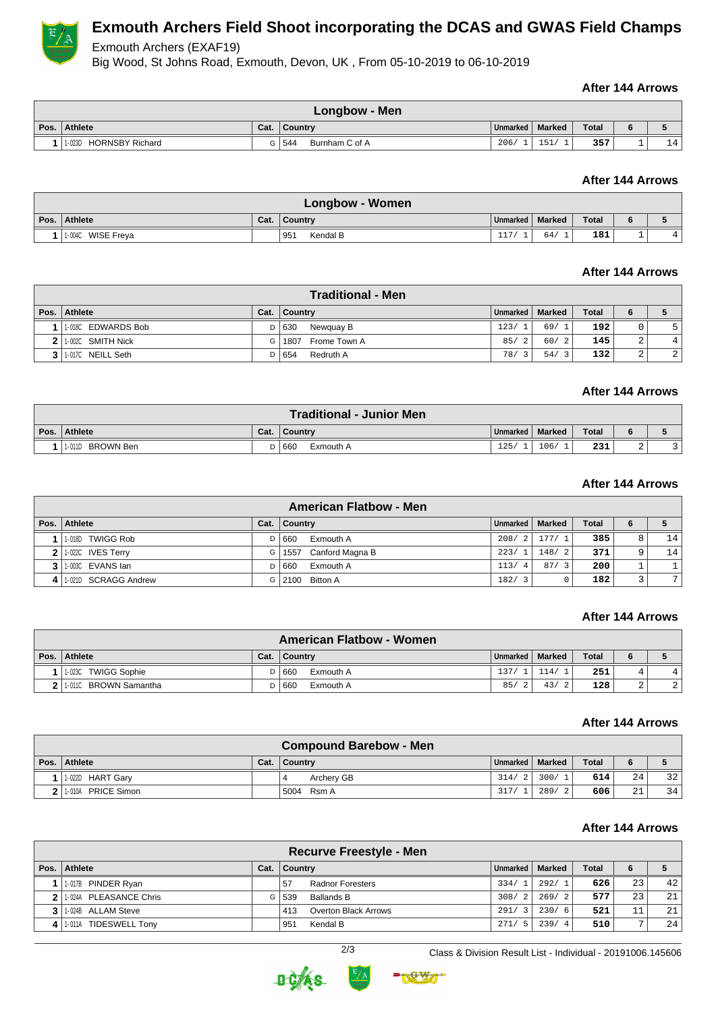

# **Exmouth Archers Field Shoot incorporating the DCAS and GWAS Field Champs**

Exmouth Archers (EXAF19)

Big Wood, St Johns Road, Exmouth, Devon, UK , From 05-10-2019 to 06-10-2019

#### **After 144 Arrows**

| Longbow - Men                    |      |                       |                   |     |       |  |    |  |  |
|----------------------------------|------|-----------------------|-------------------|-----|-------|--|----|--|--|
| Pos. Athlete                     | Cat. | ∣ Countrv             | Unmarked   Marked |     | Total |  |    |  |  |
| <b>HORNSBY Richard</b><br>1-023D |      | 544<br>Burnham C of A | 206/              | 151 | 357   |  | 14 |  |  |

## **After 144 Arrows**

| Longbow - Women   |      |                 |                   |     |       |          |    |  |  |
|-------------------|------|-----------------|-------------------|-----|-------|----------|----|--|--|
| Pos. Athlete      | Cat. | ∣ Country       | Unmarked   Marked |     | Total |          |    |  |  |
| 1-004C WISE Freya |      | Kendal B<br>951 | 117/              | 64/ | 181   | <b>.</b> | 4' |  |  |

### **After 144 Arrows**

|      | <b>Traditional - Men</b> |      |                      |          |                     |              |             |   |  |  |  |
|------|--------------------------|------|----------------------|----------|---------------------|--------------|-------------|---|--|--|--|
| Pos. | Athlete                  | Cat. | Country              | Unmarked | Marked              | <b>Total</b> | 6           |   |  |  |  |
|      | 1.018C EDWARDS Bob       |      | D   630<br>Newquay B | 123/1    | 69/1                | 1921         |             | 5 |  |  |  |
|      | 2 1.002C SMITH Nick      | G    | 1807<br>Frome Town A | 85/2     | 60/2                | 145          | ົ<br>∠      | 4 |  |  |  |
|      | 1-017C NEILL Seth        |      | Redruth A<br>  654   | 78/3     | 54/<br>$\mathbf{3}$ | 132          | $\sim$<br>∠ | 2 |  |  |  |

## **After 144 Arrows**

| <b>Traditional - Junior Men</b> |      |                    |          |        |              |   |  |  |  |  |
|---------------------------------|------|--------------------|----------|--------|--------------|---|--|--|--|--|
| Pos. Athlete                    | Cat. | ∣ Countrv          | Unmarked | Marked | <b>Total</b> | 6 |  |  |  |  |
| BROWN Ben<br>1-011D             |      | i 660<br>Exmouth A | 125/     | 106/   | 231          | ∠ |  |  |  |  |

### **After 144 Arrows**

|      | <b>American Flatbow - Men</b> |      |                         |          |        |              |                       |      |  |  |  |  |
|------|-------------------------------|------|-------------------------|----------|--------|--------------|-----------------------|------|--|--|--|--|
| Pos. | Athlete                       | Cat. | Country                 | Unmarked | Marked | <b>Total</b> | 6                     |      |  |  |  |  |
|      | 1018D TWIGG Rob               | D I  | Exmouth A<br>  660      | 208/2    | 177/1  | 385          | 8                     | 14 I |  |  |  |  |
|      | $2$   1-022C IVES Terry       | G    | Canford Magna B<br>1557 | 223/1    | 148/2  | 371          |                       | 14   |  |  |  |  |
|      | $3$   1-003C EVANS $\lambda$  | D    | 660<br>Exmouth A        | 113/4    | 87/3   | 200          |                       |      |  |  |  |  |
|      | 1-021D SCRAGG Andrew          | G I  | 2100 Bitton A           | 182/3    |        | 182          | $\tilde{\phantom{a}}$ | 7    |  |  |  |  |

#### **After 144 Arrows**

|                | <b>American Flatbow - Women</b> |      |                  |          |           |              |   |            |  |  |  |
|----------------|---------------------------------|------|------------------|----------|-----------|--------------|---|------------|--|--|--|
|                | Pos. Athlete                    | Cat. | ∣ Country        | Unmarked | Marked    | <b>Total</b> | 6 |            |  |  |  |
|                | <b>TWIGG Sophie</b><br>1-023C   |      | 660<br>Exmouth A | 137/     | 114/      | 251          |   | 4          |  |  |  |
| 2 <sub>1</sub> | 11-0110 BROWN Samantha          |      | 660<br>Exmouth A | 85/      | 43/<br>-2 | 128          | ∠ | $\epsilon$ |  |  |  |

#### **After 144 Arrows**

| <b>Compound Barebow - Men</b> |                              |  |                |          |                        |              |    |    |  |
|-------------------------------|------------------------------|--|----------------|----------|------------------------|--------------|----|----|--|
|                               | Pos.   Athlete               |  | Cat.   Country | Unmarked | Marked                 | <b>Total</b> | 6  |    |  |
|                               | 1-022D HART Gary             |  | Archery GB     | 314/2    | 300/                   | 614          | 24 | 32 |  |
|                               | <b>PRICE Simon</b><br>1-010A |  | 5004 Rsm A     | 317/     | 289/<br>$\overline{2}$ | 606          | 21 | 34 |  |

#### **After 144 Arrows**

| <b>Recurve Freestyle - Men</b> |                                 |      |         |                         |                        |                        |              |    |    |  |
|--------------------------------|---------------------------------|------|---------|-------------------------|------------------------|------------------------|--------------|----|----|--|
|                                | Pos.   Athlete                  | Cat. | Country |                         | Unmarked               | Marked                 | <b>Total</b> | 6  |    |  |
|                                | 1-017B PINDER Ryan              |      | 57      | <b>Radnor Foresters</b> | 334/1                  | 292/1                  | 626          | 23 | 42 |  |
|                                | 1-024A PLEASANCE Chris          | G'   | 539     | Ballands B              | 308/2                  | 269/21                 | 577          | 23 | 21 |  |
|                                | 1-024B ALLAM Steve              |      | 413     | Overton Black Arrows    | 291/<br>$\overline{3}$ | 230/6                  | 521          | 11 | 21 |  |
|                                | <b>TIDESWELL Tony</b><br>1-011A |      | 951     | Kendal B                | 271/<br>- 5            | 239/<br>$\overline{4}$ | 510          | -  | 24 |  |